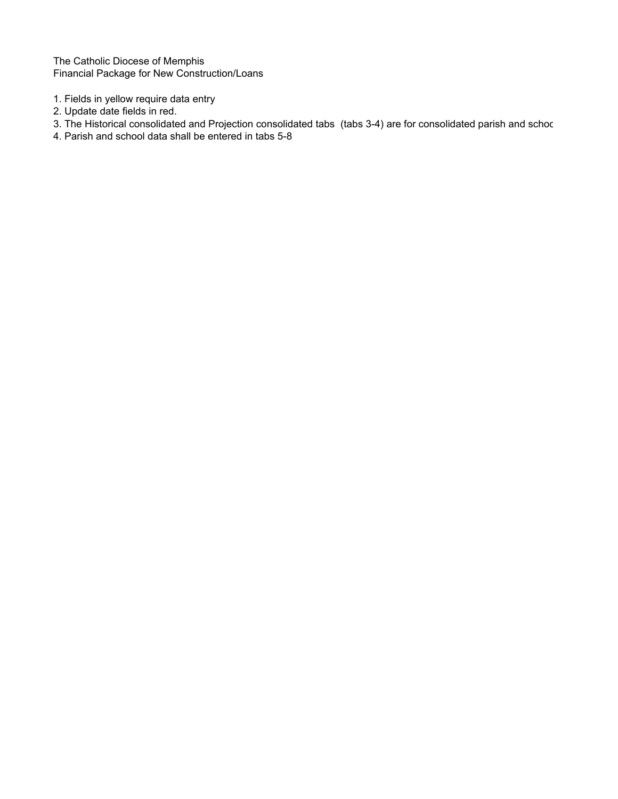The Catholic Diocese of Memphis Financial Package for New Construction/Loans

- 1. Fields in yellow require data entry
- 2. Update date fields in red.
- 3. The Historical consolidated and Projection consolidated tabs (tabs 3-4) are for consolidated parish and schoc
- 4. Parish and school data shall be entered in tabs 5-8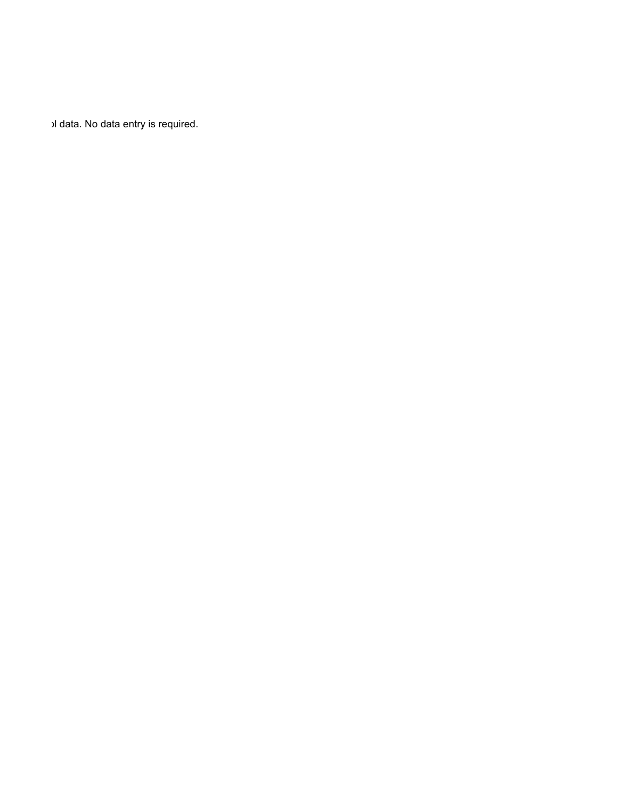ol data. No data entry is required.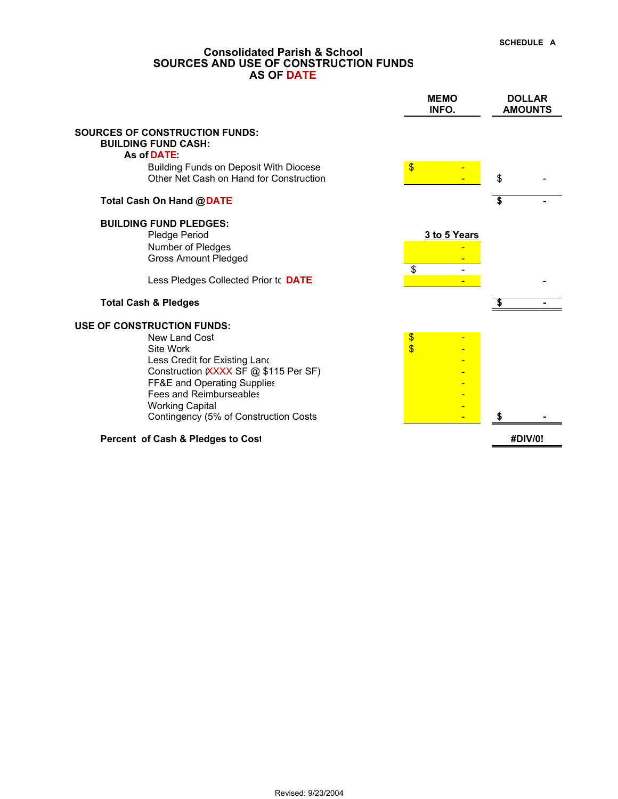## **Consolidated Parish & School SOURCES AND USE OF CONSTRUCTION FUNDS AS OF DATE**

|                                                                                                                                                                                                                                                                                      | <b>MEMO</b><br>INFO.          | <b>DOLLAR</b><br><b>AMOUNTS</b> |
|--------------------------------------------------------------------------------------------------------------------------------------------------------------------------------------------------------------------------------------------------------------------------------------|-------------------------------|---------------------------------|
| <b>SOURCES OF CONSTRUCTION FUNDS:</b><br><b>BUILDING FUND CASH:</b><br>As of DATE:                                                                                                                                                                                                   |                               |                                 |
| <b>Building Funds on Deposit With Diocese</b><br>Other Net Cash on Hand for Construction                                                                                                                                                                                             | \$                            | \$                              |
| Total Cash On Hand @DATE                                                                                                                                                                                                                                                             |                               | \$                              |
| <b>BUILDING FUND PLEDGES:</b><br>Pledge Period<br>Number of Pledges<br><b>Gross Amount Pledged</b>                                                                                                                                                                                   | 3 to 5 Years                  |                                 |
| Less Pledges Collected Prior to DATE                                                                                                                                                                                                                                                 | $\overline{\mathbf{s}}$       |                                 |
| <b>Total Cash &amp; Pledges</b>                                                                                                                                                                                                                                                      |                               |                                 |
| <b>USE OF CONSTRUCTION FUNDS:</b><br><b>New Land Cost</b><br>Site Work<br>Less Credit for Existing Land<br>Construction (XXXX SF @ \$115 Per SF)<br>FF&E and Operating Supplies<br><b>Fees and Reimburseables</b><br><b>Working Capital</b><br>Contingency (5% of Construction Costs | \$<br>$\overline{\mathbf{S}}$ |                                 |
| Percent of Cash & Pledges to Cost                                                                                                                                                                                                                                                    |                               | #DIV/0!                         |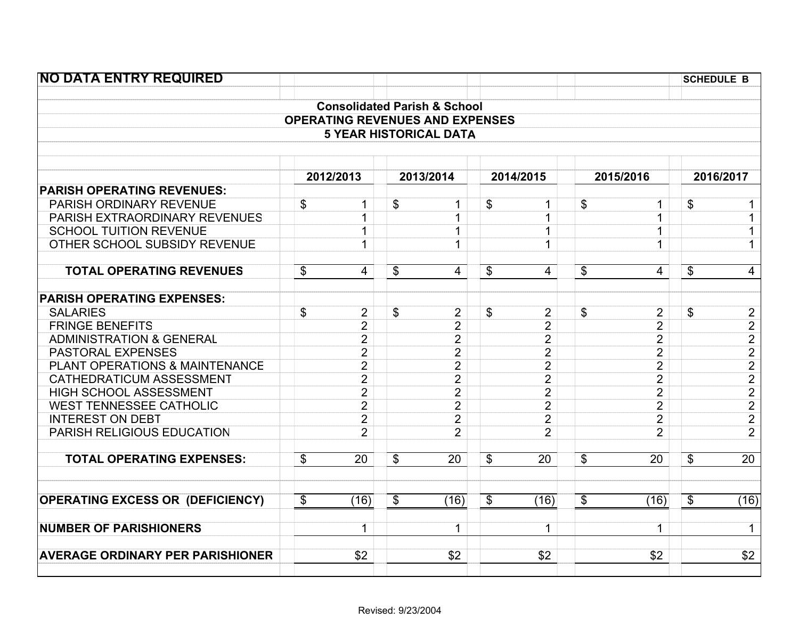| <b>NO DATA ENTRY REQUIRED</b>           |                      |                                         |                            |                |                           |                | <b>SCHEDULE B</b> |                                                                       |
|-----------------------------------------|----------------------|-----------------------------------------|----------------------------|----------------|---------------------------|----------------|-------------------|-----------------------------------------------------------------------|
|                                         |                      | <b>Consolidated Parish &amp; School</b> |                            |                |                           |                |                   |                                                                       |
|                                         |                      | <b>OPERATING REVENUES AND EXPENSES</b>  |                            |                |                           |                |                   |                                                                       |
|                                         |                      | <b>5 YEAR HISTORICAL DATA</b>           |                            |                |                           |                |                   |                                                                       |
|                                         |                      |                                         |                            |                |                           |                |                   |                                                                       |
|                                         | 2012/2013            | 2013/2014                               |                            | 2014/2015      |                           | 2015/2016      |                   | 2016/2017                                                             |
| <b>PARISH OPERATING REVENUES:</b>       |                      |                                         |                            |                |                           |                |                   |                                                                       |
| PARISH ORDINARY REVENUE                 | \$<br>$\mathbf{1}$   | \$<br>$\mathbf{1}$                      | \$                         | $\mathbf{1}$   | \$                        | 1              | \$                |                                                                       |
| PARISH EXTRAORDINARY REVENUES           | $\mathbf{1}$         | $\mathbf{1}$                            |                            | $\mathbf{1}$   |                           | $\mathbf{1}$   |                   |                                                                       |
| <b>SCHOOL TUITION REVENUE</b>           | $\mathbf{1}$         | $\mathbf{1}$                            |                            | 1              |                           | 1              |                   |                                                                       |
| OTHER SCHOOL SUBSIDY REVENUE            | $\mathbf{1}$         | $\mathbf{1}$                            |                            | $\mathbf{1}$   |                           | $\mathbf{1}$   |                   | $\mathbf 1$                                                           |
| <b>TOTAL OPERATING REVENUES</b>         | \$<br>$\overline{4}$ | \$<br>$\overline{4}$                    | $\boldsymbol{\mathsf{S}}$  | $\overline{4}$ | $\boldsymbol{\mathsf{S}}$ | 4              | \$                | $\overline{4}$                                                        |
| <b>PARISH OPERATING EXPENSES:</b>       |                      |                                         |                            |                |                           |                |                   |                                                                       |
| <b>SALARIES</b>                         | \$<br>$\overline{2}$ | \$<br>$\overline{2}$                    | \$                         | 2              | \$                        | $\overline{c}$ | \$                | $\overline{c}$                                                        |
| <b>FRINGE BENEFITS</b>                  | $\overline{2}$       | $\overline{2}$                          |                            | $\overline{2}$ |                           | $\overline{2}$ |                   |                                                                       |
| <b>ADMINISTRATION &amp; GENERAL</b>     | $\overline{2}$       | $\overline{2}$                          |                            | $\overline{2}$ |                           | $\overline{2}$ |                   | $\frac{2}{2}$ $\frac{2}{2}$ $\frac{2}{2}$ $\frac{2}{2}$ $\frac{2}{2}$ |
| <b>PASTORAL EXPENSES</b>                | $\overline{2}$       | $\overline{2}$                          |                            | $\overline{2}$ |                           | $\overline{2}$ |                   |                                                                       |
| PLANT OPERATIONS & MAINTENANCE          | $\overline{2}$       | $\overline{2}$                          |                            | $\overline{2}$ |                           | $\overline{2}$ |                   |                                                                       |
| CATHEDRATICUM ASSESSMENT                | $\overline{2}$       | $\overline{2}$                          |                            | $\overline{2}$ |                           | $\overline{2}$ |                   |                                                                       |
| <b>HIGH SCHOOL ASSESSMENT</b>           | $\overline{2}$       | $\overline{2}$                          |                            | $\overline{2}$ |                           | $\overline{2}$ |                   |                                                                       |
| <b>WEST TENNESSEE CATHOLIC</b>          | $\overline{2}$       | $\overline{2}$                          |                            | $\overline{2}$ |                           | $\overline{2}$ |                   |                                                                       |
| <b>INTEREST ON DEBT</b>                 | $\overline{2}$       | $\overline{2}$                          |                            | $\overline{2}$ |                           | $\overline{2}$ |                   |                                                                       |
| PARISH RELIGIOUS EDUCATION              | $\overline{2}$       | $\overline{2}$                          |                            | $\overline{2}$ |                           | $\overline{2}$ |                   |                                                                       |
| <b>TOTAL OPERATING EXPENSES:</b>        | \$<br>20             | \$<br>20                                | \$                         | 20             | \$                        | 20             | \$                | $\overline{20}$                                                       |
| <b>OPERATING EXCESS OR (DEFICIENCY)</b> | \$<br>(16)           | \$<br>(16)                              | $\boldsymbol{\mathsf{\$}}$ | (16)           | $\boldsymbol{\mathsf{S}}$ | (16)           | \$                | (16)                                                                  |
|                                         |                      |                                         |                            |                |                           |                |                   |                                                                       |
| <b>NUMBER OF PARISHIONERS</b>           | 1                    | 1                                       |                            | 1              |                           | 1              |                   | $\mathbf 1$                                                           |
| <b>AVERAGE ORDINARY PER PARISHIONER</b> | \$2                  | \$2                                     |                            | \$2            |                           | \$2            |                   | \$2                                                                   |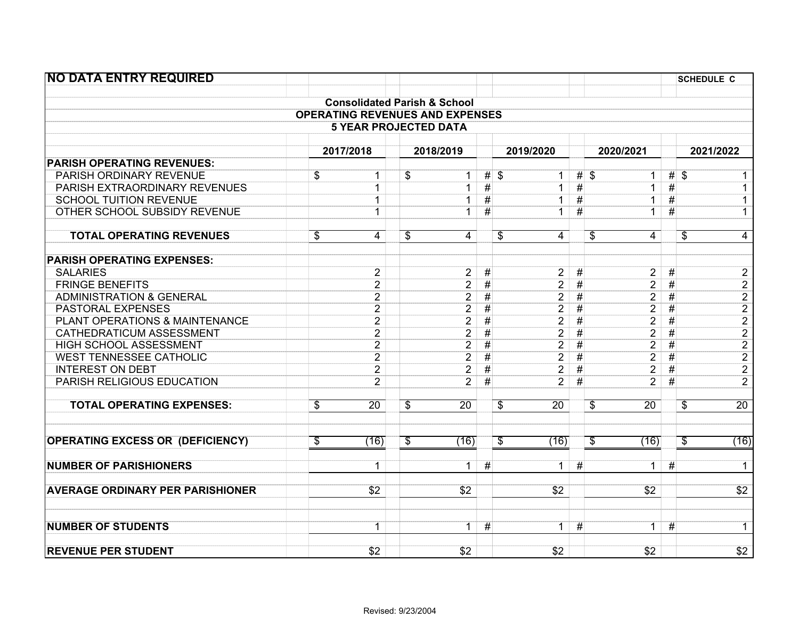| <b>NO DATA ENTRY REQUIRED</b>           |                          |                                         |                          |                 |           |                                             |                 |                                             |      | <b>SCHEDULE C</b>                                                                   |  |
|-----------------------------------------|--------------------------|-----------------------------------------|--------------------------|-----------------|-----------|---------------------------------------------|-----------------|---------------------------------------------|------|-------------------------------------------------------------------------------------|--|
|                                         |                          |                                         |                          |                 |           |                                             |                 |                                             |      |                                                                                     |  |
|                                         |                          | <b>Consolidated Parish &amp; School</b> |                          |                 |           |                                             |                 |                                             |      |                                                                                     |  |
|                                         |                          | <b>OPERATING REVENUES AND EXPENSES</b>  |                          |                 |           |                                             |                 |                                             |      |                                                                                     |  |
|                                         |                          | <b>5 YEAR PROJECTED DATA</b>            |                          |                 |           |                                             |                 |                                             |      |                                                                                     |  |
|                                         |                          |                                         |                          |                 |           |                                             |                 |                                             |      |                                                                                     |  |
|                                         |                          | 2017/2018                               |                          | 2018/2019       | 2019/2020 |                                             |                 | 2020/2021                                   |      | 2021/2022                                                                           |  |
| <b>PARISH OPERATING REVENUES:</b>       |                          |                                         |                          |                 |           |                                             |                 |                                             |      |                                                                                     |  |
| PARISH ORDINARY REVENUE                 | \$                       | $\mathbf 1$                             | \$                       | $\mathbf 1$     | $#$ \$    | $\mathbf{1}$                                |                 | $#$ \$<br>$\mathbf{1}$                      |      | $#$ \$<br>1                                                                         |  |
| PARISH EXTRAORDINARY REVENUES           |                          | $\mathbf{1}$                            |                          | $\mathbf{1}$    | $\#$      | $\mathbf{1}$                                | $\#$            | $\overline{1}$                              | $\#$ | $\overline{1}$                                                                      |  |
| <b>SCHOOL TUITION REVENUE</b>           |                          | $\mathbf 1$                             |                          | $\mathbf{1}$    | #         | $\mathbf{1}$                                | #               | $\overline{1}$                              | #    | $\mathbf 1$                                                                         |  |
| OTHER SCHOOL SUBSIDY REVENUE            |                          | $\mathbf 1$                             |                          | $\mathbf{1}$    | #         | 1                                           | #               | 1                                           | #    | $\mathbf{1}$                                                                        |  |
| <b>TOTAL OPERATING REVENUES</b>         | $\overline{\$}$          | 4                                       | $\overline{\mathcal{G}}$ | $\overline{4}$  |           | $\overline{\mathcal{S}}$<br>$\overline{4}$  |                 | $\overline{\mathcal{S}}$<br>$\overline{4}$  |      | $\overline{4}$<br>\$                                                                |  |
| <b>PARISH OPERATING EXPENSES:</b>       |                          |                                         |                          |                 |           |                                             |                 |                                             |      |                                                                                     |  |
| <b>SALARIES</b>                         |                          | $\overline{2}$                          |                          | $\overline{2}$  | #         | $\overline{2}$                              | #               | $\overline{2}$                              | #    | $\overline{c}$                                                                      |  |
| <b>FRINGE BENEFITS</b>                  |                          | $\overline{2}$                          |                          | $\overline{2}$  | #         | $\overline{2}$                              | #               | $\overline{2}$                              | $\#$ |                                                                                     |  |
| <b>ADMINISTRATION &amp; GENERAL</b>     |                          | $\overline{2}$                          |                          | $\overline{2}$  | $\#$      | $\overline{2}$                              | #               | $\overline{2}$                              | $\#$ |                                                                                     |  |
| <b>PASTORAL EXPENSES</b>                |                          | $\overline{2}$                          |                          | $\overline{2}$  | #         | $\overline{2}$                              | #               | $\overline{2}$                              | #    | $\frac{2}{2}$ $\frac{2}{2}$ $\frac{2}{2}$ $\frac{2}{2}$ $\frac{2}{2}$ $\frac{2}{2}$ |  |
| PLANT OPERATIONS & MAINTENANCE          |                          | $\overline{2}$                          |                          | $\overline{2}$  | #         | $\overline{2}$                              | #               | $\overline{2}$                              | #    |                                                                                     |  |
| CATHEDRATICUM ASSESSMENT                |                          | $\overline{2}$                          |                          | $\overline{2}$  | $\#$      | $\overline{2}$                              | $\#$            | $\overline{2}$                              | $\#$ |                                                                                     |  |
| HIGH SCHOOL ASSESSMENT                  |                          | $\overline{2}$                          |                          | $\overline{2}$  | #         | $\overline{2}$                              | $\overline{\#}$ | $\overline{2}$                              | $\#$ |                                                                                     |  |
| <b>WEST TENNESSEE CATHOLIC</b>          |                          | $\overline{2}$                          |                          | $\overline{2}$  | $\#$      | $\overline{2}$                              | #               | $\overline{2}$                              | $\#$ |                                                                                     |  |
| <b>INTEREST ON DEBT</b>                 |                          | $\overline{2}$                          |                          | $\overline{2}$  | $\#$      | $\overline{2}$                              | #               | $\overline{2}$                              | #    |                                                                                     |  |
| PARISH RELIGIOUS EDUCATION              |                          | $\overline{2}$                          |                          | $\overline{2}$  | #         | $\overline{2}$                              | #               | $\overline{2}$                              | #    |                                                                                     |  |
| <b>TOTAL OPERATING EXPENSES:</b>        | $\overline{\mathcal{G}}$ | $\overline{20}$                         | $\overline{\mathcal{G}}$ | $\overline{20}$ |           | $\overline{\mathcal{S}}$<br>$\overline{20}$ |                 | $\overline{\mathcal{G}}$<br>$\overline{20}$ |      | $\overline{20}$<br>\$                                                               |  |
| <b>OPERATING EXCESS OR (DEFICIENCY)</b> | \$                       | (16)                                    | \$                       | (16)            |           | \$<br>(16)                                  |                 | S<br>(16)                                   |      | (16)<br>\$                                                                          |  |
|                                         |                          |                                         |                          |                 |           |                                             |                 |                                             |      |                                                                                     |  |
| <b>NUMBER OF PARISHIONERS</b>           |                          | 1                                       |                          | $\mathbf 1$     | #         | 1.                                          | #               | 1                                           | #    | $\mathbf{1}$                                                                        |  |
| <b>AVERAGE ORDINARY PER PARISHIONER</b> |                          | \$2                                     |                          | \$2             |           | \$2                                         |                 | \$2                                         |      | $\overline{$}2$                                                                     |  |
| <b>NUMBER OF STUDENTS</b>               |                          | $\overline{1}$                          |                          | $\overline{1}$  | #         | $\overline{1}$                              | #               | $\overline{1}$                              | #    | $\overline{1}$                                                                      |  |
| <b>REVENUE PER STUDENT</b>              |                          | \$2                                     |                          | \$2             |           | \$2                                         |                 | \$2                                         |      | $\overline{$2}$                                                                     |  |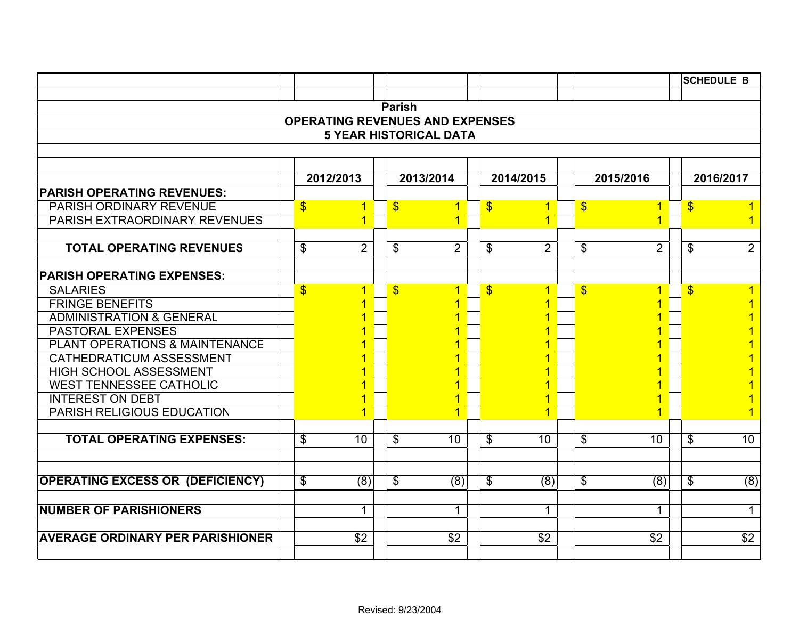|                                                                 |               |                |               |                                        |                           |                      |               |                |                           | <b>SCHEDULE B</b> |
|-----------------------------------------------------------------|---------------|----------------|---------------|----------------------------------------|---------------------------|----------------------|---------------|----------------|---------------------------|-------------------|
|                                                                 |               |                |               |                                        |                           |                      |               |                |                           |                   |
|                                                                 |               |                | <b>Parish</b> |                                        |                           |                      |               |                |                           |                   |
|                                                                 |               |                |               | <b>OPERATING REVENUES AND EXPENSES</b> |                           |                      |               |                |                           |                   |
|                                                                 |               |                |               | <b>5 YEAR HISTORICAL DATA</b>          |                           |                      |               |                |                           |                   |
|                                                                 |               |                |               |                                        |                           |                      |               |                |                           |                   |
|                                                                 |               |                |               |                                        |                           |                      |               |                |                           |                   |
|                                                                 |               | 2012/2013      |               | 2013/2014                              |                           | 2014/2015            |               | 2015/2016      |                           | 2016/2017         |
| <b>PARISH OPERATING REVENUES:</b>                               |               |                |               |                                        |                           |                      |               |                |                           |                   |
| PARISH ORDINARY REVENUE<br><b>PARISH EXTRAORDINARY REVENUES</b> | $\mathbf{\$}$ | 1              | $\mathbf{\$}$ | $\overline{1}$<br>1                    | $\boldsymbol{\mathsf{S}}$ | $\blacktriangleleft$ | $\mathbf{\$}$ | $\overline{1}$ | $\boldsymbol{\mathsf{S}}$ | 1.                |
|                                                                 |               |                |               |                                        |                           |                      |               |                |                           | $\mathbf{1}$      |
| <b>TOTAL OPERATING REVENUES</b>                                 | $\frac{1}{2}$ | $\overline{2}$ | \$            | $\overline{2}$                         | \$                        | $\overline{2}$       | \$            | $\overline{2}$ | \$                        | $\overline{2}$    |
|                                                                 |               |                |               |                                        |                           |                      |               |                |                           |                   |
| <b>PARISH OPERATING EXPENSES:</b>                               |               |                |               |                                        |                           |                      |               |                |                           |                   |
| <b>SALARIES</b>                                                 | $\mathbf{\$}$ |                | $\mathbf{\$}$ | 1                                      | $\mathbf{\$}$             |                      | $\mathbf{\$}$ | 1              | $\mathbf{\$}$             | 1                 |
| <b>FRINGE BENEFITS</b>                                          |               |                |               |                                        |                           |                      |               |                |                           |                   |
| <b>ADMINISTRATION &amp; GENERAL</b>                             |               |                |               |                                        |                           |                      |               |                |                           |                   |
| <b>PASTORAL EXPENSES</b>                                        |               |                |               |                                        |                           |                      |               |                |                           |                   |
| PLANT OPERATIONS & MAINTENANCE                                  |               |                |               |                                        |                           |                      |               |                |                           |                   |
| <b>CATHEDRATICUM ASSESSMENT</b>                                 |               |                |               |                                        |                           |                      |               |                |                           |                   |
| <b>HIGH SCHOOL ASSESSMENT</b>                                   |               |                |               |                                        |                           |                      |               |                |                           |                   |
| <b>WEST TENNESSEE CATHOLIC</b>                                  |               |                |               |                                        |                           |                      |               |                |                           |                   |
| <b>INTEREST ON DEBT</b>                                         |               |                |               |                                        |                           |                      |               |                |                           |                   |
| PARISH RELIGIOUS EDUCATION                                      |               |                |               |                                        |                           |                      |               |                |                           | 1                 |
| <b>TOTAL OPERATING EXPENSES:</b>                                | \$            | 10             | \$            | 10                                     | \$                        | 10                   | \$            | 10             | \$                        | 10                |
|                                                                 |               |                |               |                                        |                           |                      |               |                |                           |                   |
| <b>OPERATING EXCESS OR (DEFICIENCY)</b>                         | \$            | (8)            | \$            | (8)                                    | \$                        | (8)                  | \$            | (8)            | \$                        | (8)               |
|                                                                 |               |                |               |                                        |                           |                      |               |                |                           |                   |
| <b>NUMBER OF PARISHIONERS</b>                                   |               | 1              |               | 1                                      |                           | 1                    |               | 1              |                           | $\mathbf{1}$      |
| <b>AVERAGE ORDINARY PER PARISHIONER</b>                         |               | $\sqrt{$2}$    |               | $\overline{$}$                         |                           | $\sqrt{$2}$          |               | \$2            |                           | $\overline{$2$}$  |
|                                                                 |               |                |               |                                        |                           |                      |               |                |                           |                   |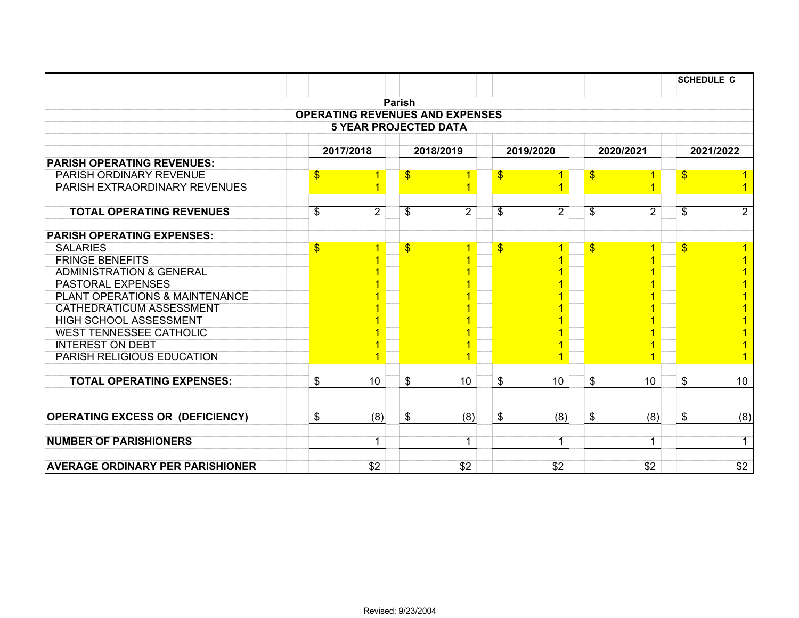|                                         |                                        |                              |                          |                |                          |                |                         |                | <b>SCHEDULE C</b>         |                |
|-----------------------------------------|----------------------------------------|------------------------------|--------------------------|----------------|--------------------------|----------------|-------------------------|----------------|---------------------------|----------------|
|                                         |                                        |                              |                          |                |                          |                |                         |                |                           |                |
|                                         | <b>OPERATING REVENUES AND EXPENSES</b> |                              | <b>Parish</b>            |                |                          |                |                         |                |                           |                |
|                                         |                                        | <b>5 YEAR PROJECTED DATA</b> |                          |                |                          |                |                         |                |                           |                |
|                                         |                                        |                              |                          |                |                          |                |                         |                |                           |                |
|                                         |                                        | 2017/2018                    |                          | 2018/2019      |                          | 2019/2020      |                         | 2020/2021      |                           | 2021/2022      |
| <b>PARISH OPERATING REVENUES:</b>       |                                        |                              |                          |                |                          |                |                         |                |                           |                |
| PARISH ORDINARY REVENUE                 | $\sqrt[6]{\frac{1}{2}}$                |                              | $\sqrt[6]{3}$            |                | $\frac{1}{2}$            |                | $\frac{1}{2}$           |                | $\frac{1}{2}$             |                |
| PARISH EXTRAORDINARY REVENUES           |                                        |                              |                          | 1              |                          |                |                         |                |                           |                |
| <b>TOTAL OPERATING REVENUES</b>         | \$                                     | $\overline{2}$               | \$                       | $\overline{2}$ | $\overline{\mathcal{G}}$ | $\overline{2}$ | \$                      | $\overline{2}$ | \$                        | $\overline{2}$ |
| <b>PARISH OPERATING EXPENSES:</b>       |                                        |                              |                          |                |                          |                |                         |                |                           |                |
| <b>SALARIES</b>                         | $\mathsf{\$}$                          | 1                            | $\mathbf{\$}$            | 1              | $\overline{\mathbb{S}}$  | 1              | $\mathbf{\$}$           |                | $\mathbf{\$}$             |                |
| <b>FRINGE BENEFITS</b>                  |                                        |                              |                          |                |                          |                |                         |                |                           |                |
| <b>ADMINISTRATION &amp; GENERAL</b>     |                                        |                              |                          |                |                          |                |                         |                |                           |                |
| <b>PASTORAL EXPENSES</b>                |                                        |                              |                          |                |                          |                |                         |                |                           |                |
| PLANT OPERATIONS & MAINTENANCE          |                                        |                              |                          |                |                          |                |                         |                |                           |                |
| <b>CATHEDRATICUM ASSESSMENT</b>         |                                        |                              |                          |                |                          |                |                         |                |                           |                |
| HIGH SCHOOL ASSESSMENT                  |                                        |                              |                          |                |                          |                |                         |                |                           |                |
| <b>WEST TENNESSEE CATHOLIC</b>          |                                        |                              |                          |                |                          |                |                         |                |                           |                |
| <b>INTEREST ON DEBT</b>                 |                                        |                              |                          |                |                          |                |                         |                |                           |                |
| <b>PARISH RELIGIOUS EDUCATION</b>       |                                        |                              |                          |                |                          |                |                         |                |                           |                |
| <b>TOTAL OPERATING EXPENSES:</b>        | $\overline{\mathcal{S}}$               | 10                           | $\overline{\mathcal{G}}$ | 10             | $\overline{\mathbb{S}}$  | 10             | $\overline{\mathbf{3}}$ | 10             | $\boldsymbol{\mathsf{S}}$ | 10             |
|                                         |                                        |                              |                          |                |                          |                |                         |                |                           |                |
| <b>OPERATING EXCESS OR (DEFICIENCY)</b> | \$                                     | (8)                          | \$                       | (8)            | \$                       | (8)            | \$                      | (8)            | \$                        | (8)            |
| <b>NUMBER OF PARISHIONERS</b>           |                                        | $\mathbf 1$                  |                          | $\mathbf 1$    |                          | $\mathbf 1$    |                         | $\mathbf{1}$   |                           | $\mathbf 1$    |
| <b>AVERAGE ORDINARY PER PARISHIONER</b> |                                        | \$2                          |                          | \$2            |                          | \$2            |                         | \$2            |                           | \$2            |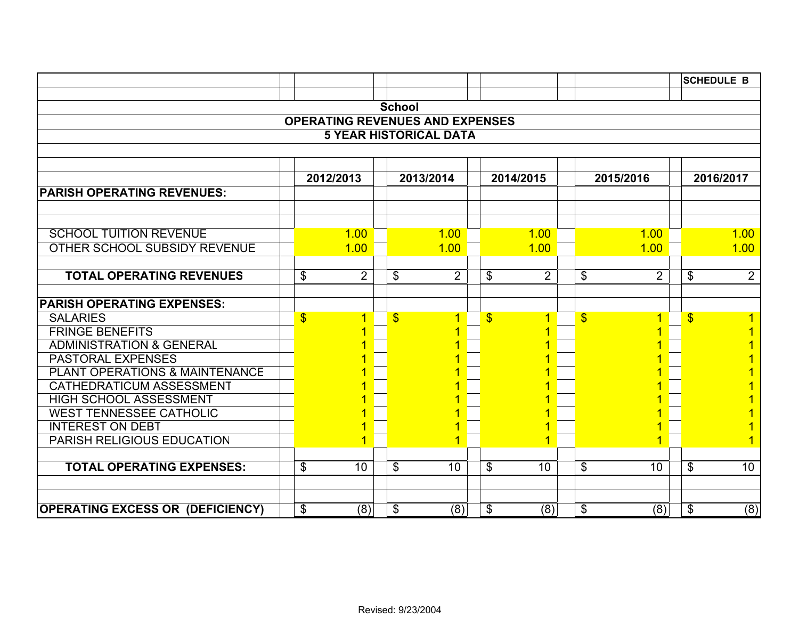|                                           |                                                  |                                   |  |                                        |               |                |                         |                 |  | <b>SCHEDULE B</b>    |  |  |  |  |
|-------------------------------------------|--------------------------------------------------|-----------------------------------|--|----------------------------------------|---------------|----------------|-------------------------|-----------------|--|----------------------|--|--|--|--|
|                                           |                                                  |                                   |  |                                        |               |                |                         |                 |  |                      |  |  |  |  |
|                                           |                                                  |                                   |  | <b>School</b>                          |               |                |                         |                 |  |                      |  |  |  |  |
|                                           |                                                  |                                   |  | <b>OPERATING REVENUES AND EXPENSES</b> |               |                |                         |                 |  |                      |  |  |  |  |
|                                           |                                                  |                                   |  | <b>5 YEAR HISTORICAL DATA</b>          |               |                |                         |                 |  |                      |  |  |  |  |
|                                           |                                                  |                                   |  |                                        |               |                |                         |                 |  |                      |  |  |  |  |
|                                           |                                                  |                                   |  |                                        |               |                |                         |                 |  | 2016/2017            |  |  |  |  |
|                                           | 2012/2013<br>2013/2014<br>2014/2015<br>2015/2016 |                                   |  |                                        |               |                |                         |                 |  |                      |  |  |  |  |
| <b>PARISH OPERATING REVENUES:</b>         |                                                  |                                   |  |                                        |               |                |                         |                 |  |                      |  |  |  |  |
|                                           |                                                  |                                   |  |                                        |               |                |                         |                 |  |                      |  |  |  |  |
| <b>SCHOOL TUITION REVENUE</b>             |                                                  | 1.00                              |  | 1.00                                   |               | 1.00           |                         | 1.00            |  | 1.00                 |  |  |  |  |
| OTHER SCHOOL SUBSIDY REVENUE              |                                                  | 1.00                              |  | 1.00                                   |               | 1.00           |                         | 1.00            |  | 1.00                 |  |  |  |  |
|                                           |                                                  |                                   |  |                                        |               |                |                         |                 |  |                      |  |  |  |  |
| <b>TOTAL OPERATING REVENUES</b>           |                                                  | $\overline{2}$<br>\$              |  | \$<br>$\overline{2}$                   | \$            | $\overline{2}$ | \$                      | $\overline{2}$  |  | $\overline{2}$<br>\$ |  |  |  |  |
|                                           |                                                  |                                   |  |                                        |               |                |                         |                 |  |                      |  |  |  |  |
| <b>PARISH OPERATING EXPENSES:</b>         |                                                  |                                   |  |                                        |               |                |                         |                 |  |                      |  |  |  |  |
| <b>SALARIES</b>                           |                                                  | $\boldsymbol{\mathsf{S}}$<br>1    |  | $\mathbf{\$}$<br>1                     | $\mathbf{\$}$ | 1              | $\overline{\mathbb{S}}$ | 1               |  | $\mathbf{\$}$        |  |  |  |  |
| <b>FRINGE BENEFITS</b>                    |                                                  |                                   |  |                                        |               |                |                         |                 |  |                      |  |  |  |  |
| <b>ADMINISTRATION &amp; GENERAL</b>       |                                                  |                                   |  |                                        |               |                |                         |                 |  |                      |  |  |  |  |
| <b>PASTORAL EXPENSES</b>                  |                                                  |                                   |  |                                        |               |                |                         |                 |  |                      |  |  |  |  |
| <b>PLANT OPERATIONS &amp; MAINTENANCE</b> |                                                  |                                   |  |                                        |               |                |                         |                 |  |                      |  |  |  |  |
| <b>CATHEDRATICUM ASSESSMENT</b>           |                                                  |                                   |  |                                        |               |                |                         |                 |  |                      |  |  |  |  |
| HIGH SCHOOL ASSESSMENT                    |                                                  |                                   |  |                                        |               |                |                         |                 |  |                      |  |  |  |  |
| <b>WEST TENNESSEE CATHOLIC</b>            |                                                  |                                   |  |                                        |               |                |                         |                 |  |                      |  |  |  |  |
| <b>INTEREST ON DEBT</b>                   |                                                  |                                   |  |                                        |               |                |                         |                 |  |                      |  |  |  |  |
| <b>PARISH RELIGIOUS EDUCATION</b>         |                                                  |                                   |  | 1                                      |               | 1              |                         |                 |  |                      |  |  |  |  |
|                                           |                                                  |                                   |  |                                        |               |                |                         |                 |  |                      |  |  |  |  |
| <b>TOTAL OPERATING EXPENSES:</b>          |                                                  | $\mathfrak{S}$<br>10 <sup>°</sup> |  | \$<br>10                               | \$            | 10             | \$                      | 10 <sup>°</sup> |  | \$<br>10             |  |  |  |  |
|                                           |                                                  |                                   |  |                                        |               |                |                         |                 |  |                      |  |  |  |  |
|                                           |                                                  |                                   |  |                                        |               |                |                         |                 |  |                      |  |  |  |  |
| <b>OPERATING EXCESS OR (DEFICIENCY)</b>   |                                                  | \$<br>(8)                         |  | (8)<br>\$                              | \$            | (8)            | \$                      | (8)             |  | (8)<br>\$            |  |  |  |  |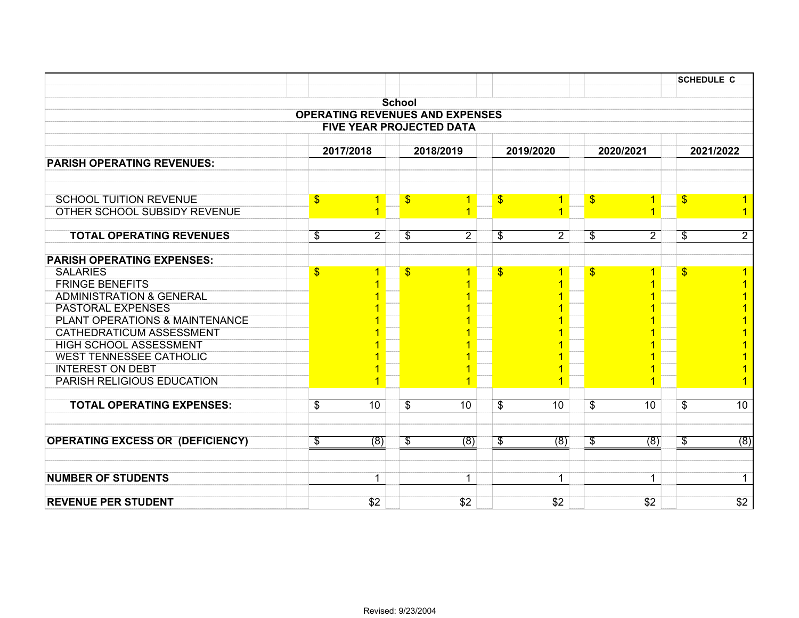|                                         |                                        |                                 |                          |                |                                |                          |                |                          | <b>SCHEDULE C</b> |
|-----------------------------------------|----------------------------------------|---------------------------------|--------------------------|----------------|--------------------------------|--------------------------|----------------|--------------------------|-------------------|
|                                         |                                        |                                 |                          |                |                                |                          |                |                          |                   |
|                                         |                                        |                                 | <b>School</b>            |                |                                |                          |                |                          |                   |
|                                         | <b>OPERATING REVENUES AND EXPENSES</b> | <b>FIVE YEAR PROJECTED DATA</b> |                          |                |                                |                          |                |                          |                   |
|                                         |                                        |                                 |                          |                |                                |                          |                |                          |                   |
|                                         |                                        | 2017/2018                       |                          | 2018/2019      | 2019/2020                      |                          | 2020/2021      |                          | 2021/2022         |
| <b>PARISH OPERATING REVENUES:</b>       |                                        |                                 |                          |                |                                |                          |                |                          |                   |
|                                         |                                        |                                 |                          |                |                                |                          |                |                          |                   |
|                                         |                                        |                                 |                          |                |                                |                          |                |                          |                   |
| <b>SCHOOL TUITION REVENUE</b>           | $\sqrt{2}$                             | 1                               | $\sqrt[6]{3}$            | $\overline{1}$ | $\frac{1}{2}$<br>1             | $\frac{1}{2}$            | 1              | $\frac{1}{2}$            |                   |
| <b>OTHER SCHOOL SUBSIDY REVENUE</b>     |                                        |                                 |                          | 1              |                                |                          |                |                          |                   |
| <b>TOTAL OPERATING REVENUES</b>         |                                        | $\overline{2}$                  |                          |                | $\overline{2}$                 |                          |                |                          | $\overline{2}$    |
|                                         | $\overline{\mathfrak{s}}$              |                                 | $\overline{\mathbf{e}}$  | $\overline{2}$ | $\overline{\mathcal{G}}$       | $\overline{\mathbf{e}}$  | $\overline{2}$ | $\overline{\mathcal{S}}$ |                   |
| <b>PARISH OPERATING EXPENSES:</b>       |                                        |                                 |                          |                |                                |                          |                |                          |                   |
| <b>SALARIES</b>                         | $\frac{1}{2}$                          |                                 | $\sqrt[6]{3}$            | 1              | $\frac{1}{2}$                  | $\frac{1}{2}$            |                | $\frac{1}{2}$            |                   |
| <b>FRINGE BENEFITS</b>                  |                                        |                                 |                          |                |                                |                          |                |                          |                   |
| <b>ADMINISTRATION &amp; GENERAL</b>     |                                        |                                 |                          |                |                                |                          |                |                          |                   |
| <b>PASTORAL EXPENSES</b>                |                                        |                                 |                          |                |                                |                          |                |                          |                   |
| PLANT OPERATIONS & MAINTENANCE          |                                        |                                 |                          |                |                                |                          |                |                          |                   |
| CATHEDRATICUM ASSESSMENT                |                                        |                                 |                          |                |                                |                          |                |                          |                   |
| <b>HIGH SCHOOL ASSESSMENT</b>           |                                        |                                 |                          |                |                                |                          |                |                          |                   |
| <b>WEST TENNESSEE CATHOLIC</b>          |                                        |                                 |                          |                |                                |                          |                |                          |                   |
| <b>INTEREST ON DEBT</b>                 |                                        |                                 |                          |                |                                |                          |                |                          |                   |
| PARISH RELIGIOUS EDUCATION              |                                        |                                 |                          |                |                                |                          |                |                          | $\overline{1}$    |
|                                         |                                        |                                 |                          |                |                                |                          |                |                          |                   |
| <b>TOTAL OPERATING EXPENSES:</b>        | $\overline{\mathcal{S}}$               | 10                              | $\overline{\mathcal{S}}$ | 10             | $\overline{\mathcal{G}}$<br>10 | $\overline{\mathcal{S}}$ | 10             | \$                       | 10                |
|                                         |                                        |                                 |                          |                |                                |                          |                |                          |                   |
| <b>OPERATING EXCESS OR (DEFICIENCY)</b> | $\sqrt[6]{\frac{2}{5}}$                | (8)                             | \$                       | (8)            | \$<br>(8)                      | \$                       | (8)            | \$                       | (8)               |
|                                         |                                        |                                 |                          |                |                                |                          |                |                          |                   |
| <b>NUMBER OF STUDENTS</b>               |                                        | 1                               |                          | $\mathbf 1$    | $\mathbf{1}$                   |                          | $\mathbf 1$    |                          | $\mathbf{1}$      |
|                                         |                                        |                                 |                          |                |                                |                          |                |                          |                   |
| <b>REVENUE PER STUDENT</b>              |                                        | \$2                             |                          | \$2            | \$2                            |                          | \$2            |                          | \$2               |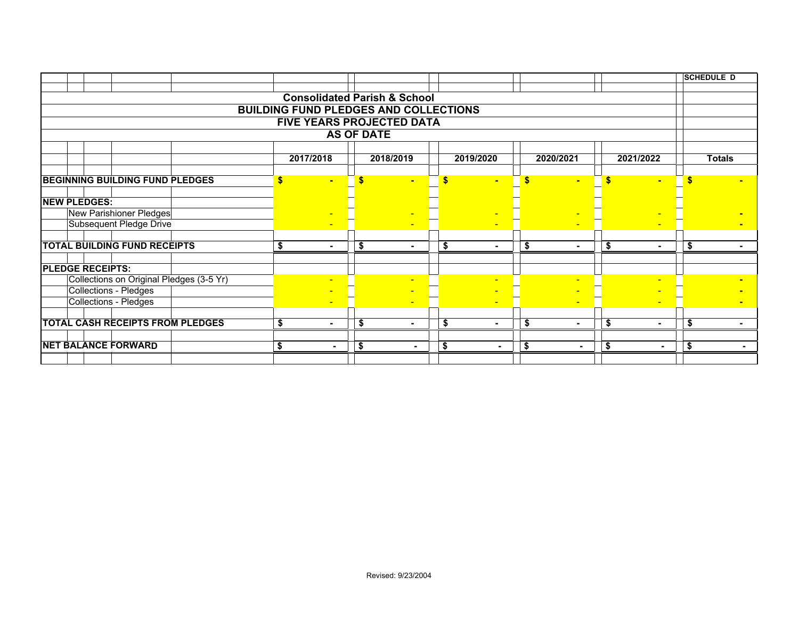|                                          |           |                |                   |                                              |    |                |      |                |    |                | <b>SCHEDULE D</b> |                          |  |  |
|------------------------------------------|-----------|----------------|-------------------|----------------------------------------------|----|----------------|------|----------------|----|----------------|-------------------|--------------------------|--|--|
|                                          |           |                |                   |                                              |    |                |      |                |    |                |                   |                          |  |  |
|                                          |           |                |                   | <b>Consolidated Parish &amp; School</b>      |    |                |      |                |    |                |                   |                          |  |  |
|                                          |           |                |                   | <b>BUILDING FUND PLEDGES AND COLLECTIONS</b> |    |                |      |                |    |                |                   |                          |  |  |
|                                          |           |                |                   | FIVE YEARS PROJECTED DATA                    |    |                |      |                |    |                |                   |                          |  |  |
|                                          |           |                | <b>AS OF DATE</b> |                                              |    |                |      |                |    |                |                   |                          |  |  |
|                                          |           |                |                   |                                              |    |                |      |                |    |                |                   |                          |  |  |
|                                          | 2017/2018 |                |                   | 2018/2019                                    |    | 2019/2020      |      | 2020/2021      |    | 2021/2022      |                   | <b>Totals</b>            |  |  |
|                                          |           |                |                   |                                              |    |                |      |                |    |                |                   |                          |  |  |
| <b>BEGINNING BUILDING FUND PLEDGES</b>   | \$        | ÷.             |                   |                                              |    |                | Ś    |                |    |                |                   |                          |  |  |
| <b>NEW PLEDGES:</b>                      |           |                |                   |                                              |    |                |      |                |    |                |                   |                          |  |  |
| New Parishioner Pledges                  |           |                |                   |                                              |    |                |      |                |    |                |                   |                          |  |  |
| Subsequent Pledge Drive                  |           |                |                   |                                              |    |                |      | $\blacksquare$ |    |                |                   |                          |  |  |
|                                          |           |                |                   |                                              |    |                |      |                |    |                |                   |                          |  |  |
| <b>TOTAL BUILDING FUND RECEIPTS</b>      | S         | $\blacksquare$ | \$                | ۰.                                           | \$ | $\blacksquare$ | - 56 | ۰.             | S  | $\blacksquare$ | - \$              | ۰.                       |  |  |
| <b>PLEDGE RECEIPTS:</b>                  |           |                |                   |                                              |    |                |      |                |    |                |                   |                          |  |  |
| Collections on Original Pledges (3-5 Yr) |           |                |                   |                                              |    |                |      |                |    |                |                   |                          |  |  |
| Collections - Pledges                    |           |                |                   |                                              |    |                |      |                |    |                |                   |                          |  |  |
| Collections - Pledges                    |           |                |                   |                                              |    |                |      |                |    |                |                   |                          |  |  |
|                                          |           |                |                   |                                              |    |                |      |                |    |                |                   |                          |  |  |
| <b>TOTAL CASH RECEIPTS FROM PLEDGES</b>  | S         | $\blacksquare$ | \$                | ۰.                                           | \$ | $\blacksquare$ | \$   | $\blacksquare$ | \$ | $\blacksquare$ | \$                | $\overline{\phantom{0}}$ |  |  |
|                                          |           |                |                   |                                              |    |                |      |                |    |                |                   |                          |  |  |
| <b>NET BALANCE FORWARD</b>               | \$        | $\blacksquare$ | \$                | $\blacksquare$                               | \$ | $\blacksquare$ | \$   | $\blacksquare$ | \$ | ٠              | \$                | ۰.                       |  |  |
|                                          |           |                |                   |                                              |    |                |      |                |    |                |                   |                          |  |  |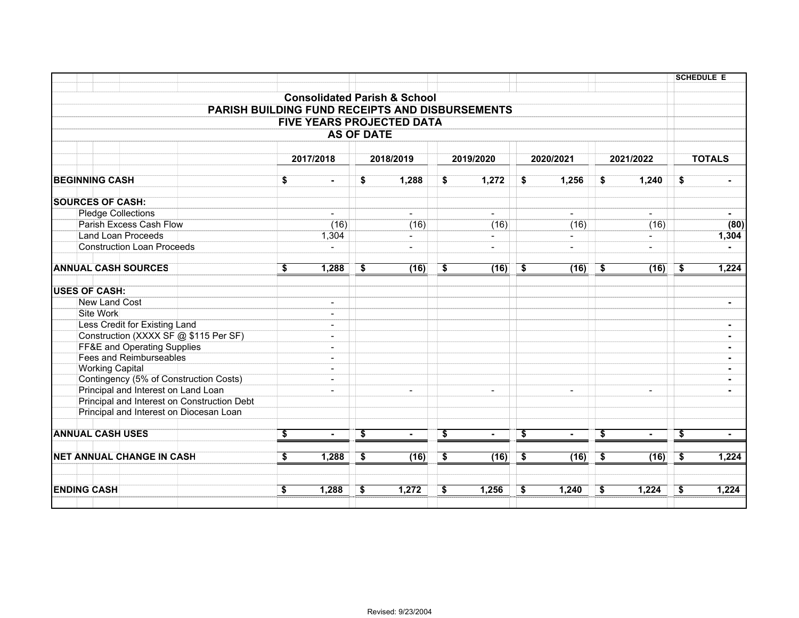|                           |                                     |                                                 |      |                          |                                      |                                         |                         |                |      |                          |                                      |                | <b>SCHEDULE E</b> |                |
|---------------------------|-------------------------------------|-------------------------------------------------|------|--------------------------|--------------------------------------|-----------------------------------------|-------------------------|----------------|------|--------------------------|--------------------------------------|----------------|-------------------|----------------|
|                           |                                     |                                                 |      |                          |                                      |                                         |                         |                |      |                          |                                      |                |                   |                |
|                           |                                     |                                                 |      |                          |                                      | <b>Consolidated Parish &amp; School</b> |                         |                |      |                          |                                      |                |                   |                |
|                           |                                     | PARISH BUILDING FUND RECEIPTS AND DISBURSEMENTS |      |                          |                                      |                                         |                         |                |      |                          |                                      |                |                   |                |
|                           |                                     |                                                 |      |                          |                                      | <b>FIVE YEARS PROJECTED DATA</b>        |                         |                |      |                          |                                      |                |                   |                |
|                           |                                     |                                                 |      |                          | <b>AS OF DATE</b>                    |                                         |                         |                |      |                          |                                      |                |                   |                |
|                           |                                     |                                                 |      | 2017/2018                |                                      | 2018/2019                               |                         | 2019/2020      |      | 2020/2021                |                                      | 2021/2022      |                   |                |
|                           |                                     |                                                 |      |                          |                                      |                                         |                         |                |      |                          |                                      |                | <b>TOTALS</b>     |                |
| <b>BEGINNING CASH</b>     |                                     |                                                 | \$   | $\blacksquare$           | \$                                   | 1,288                                   | \$                      | 1,272          | \$   | 1,256                    | \$                                   | 1,240          | \$                |                |
|                           |                                     |                                                 |      |                          |                                      |                                         |                         |                |      |                          |                                      |                |                   |                |
| <b>SOURCES OF CASH:</b>   |                                     |                                                 |      |                          |                                      |                                         |                         |                |      |                          |                                      |                |                   |                |
| <b>Pledge Collections</b> |                                     |                                                 |      | $\blacksquare$           |                                      | $\blacksquare$                          |                         | $\blacksquare$ |      | $\blacksquare$           |                                      | $\blacksquare$ |                   | $\blacksquare$ |
|                           | <b>Parish Excess Cash Flow</b>      |                                                 |      | (16)                     |                                      | (16)                                    |                         | (16)           |      | (16)                     |                                      | (16)           |                   | (80)           |
|                           | <b>Land Loan Proceeds</b>           |                                                 |      | 1,304                    |                                      |                                         |                         |                |      |                          |                                      |                |                   | 1,304          |
|                           | <b>Construction Loan Proceeds</b>   |                                                 |      |                          |                                      | $\blacksquare$                          |                         | $\blacksquare$ |      | $\blacksquare$           |                                      | $\blacksquare$ |                   |                |
|                           | <b>ANNUAL CASH SOURCES</b>          |                                                 | - \$ | 1,288                    | \$                                   | (16)                                    | \$                      | (16)           | - \$ | (16)                     | -\$                                  | (16)           | \$                | 1,224          |
|                           |                                     |                                                 |      |                          |                                      |                                         |                         |                |      |                          |                                      |                |                   |                |
| <b>USES OF CASH:</b>      |                                     |                                                 |      |                          |                                      |                                         |                         |                |      |                          |                                      |                |                   |                |
| <b>New Land Cost</b>      |                                     |                                                 |      | $\blacksquare$           |                                      |                                         |                         |                |      |                          |                                      |                |                   |                |
| Site Work                 |                                     |                                                 |      | $\overline{a}$           |                                      |                                         |                         |                |      |                          |                                      |                |                   |                |
|                           | Less Credit for Existing Land       |                                                 |      | $\overline{\phantom{a}}$ |                                      |                                         |                         |                |      |                          |                                      |                |                   | $\blacksquare$ |
|                           |                                     | Construction (XXXX SF @ \$115 Per SF)           |      | $\overline{\phantom{0}}$ |                                      |                                         |                         |                |      |                          |                                      |                |                   |                |
|                           | FF&E and Operating Supplies         |                                                 |      |                          |                                      |                                         |                         |                |      |                          |                                      |                |                   |                |
|                           | <b>Fees and Reimburseables</b>      |                                                 |      | $\blacksquare$           |                                      |                                         |                         |                |      |                          |                                      |                |                   |                |
| <b>Working Capital</b>    |                                     |                                                 |      | $\overline{a}$           |                                      |                                         |                         |                |      |                          |                                      |                |                   |                |
|                           |                                     | Contingency (5% of Construction Costs)          |      |                          |                                      |                                         |                         |                |      |                          |                                      |                |                   |                |
|                           | Principal and Interest on Land Loan |                                                 |      | $\blacksquare$           |                                      | $\blacksquare$                          |                         | $\blacksquare$ |      | $\overline{\phantom{0}}$ |                                      | $\blacksquare$ |                   |                |
|                           |                                     | Principal and Interest on Construction Debt     |      |                          |                                      |                                         |                         |                |      |                          |                                      |                |                   |                |
|                           |                                     | Principal and Interest on Diocesan Loan         |      |                          |                                      |                                         |                         |                |      |                          |                                      |                |                   |                |
| <b>ANNUAL CASH USES</b>   |                                     |                                                 | \$   | $\blacksquare$           | \$                                   | $\blacksquare$                          | \$                      | $\blacksquare$ | \$   | $\blacksquare$           | \$                                   | $\blacksquare$ | \$                | $\blacksquare$ |
|                           |                                     |                                                 |      |                          |                                      |                                         |                         |                |      |                          |                                      |                |                   |                |
|                           | <b>NET ANNUAL CHANGE IN CASH</b>    |                                                 | \$   | 1,288                    | $\overline{\boldsymbol{\mathsf{s}}}$ | (16)                                    | $\overline{\mathbf{3}}$ | (16)           | \$   | (16)                     | $\overline{\boldsymbol{\mathsf{s}}}$ | (16)           | \$                | 1,224          |
|                           |                                     |                                                 |      |                          |                                      |                                         |                         |                |      |                          |                                      |                |                   |                |
| <b>ENDING CASH</b>        |                                     |                                                 | \$   | 1,288                    | \$                                   | 1,272                                   | \$                      | 1,256          | \$   | 1,240                    | \$                                   | 1,224          | \$                | 1,224          |
|                           |                                     |                                                 |      |                          |                                      |                                         |                         |                |      |                          |                                      |                |                   |                |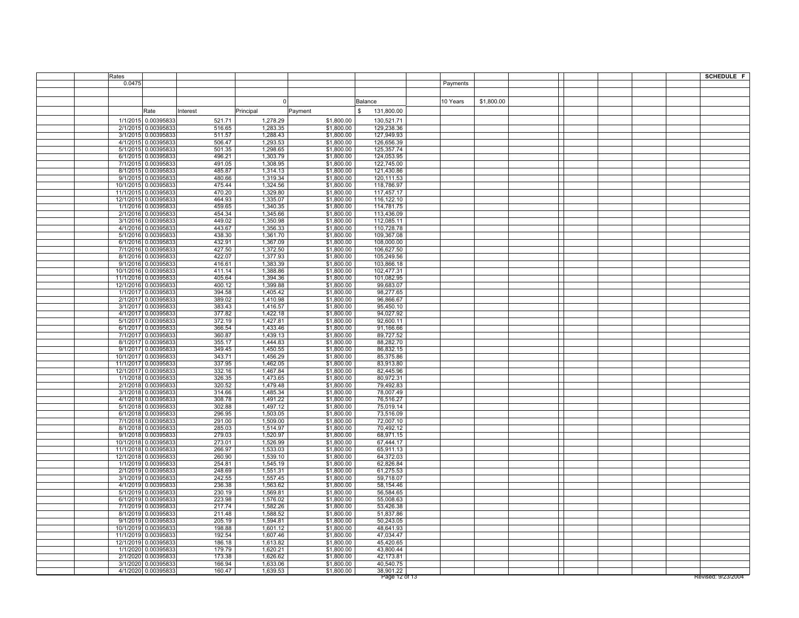| Rates  |                                              |                  |                      |                          |                          |          |            |  | <b>SCHEDULE F</b>  |
|--------|----------------------------------------------|------------------|----------------------|--------------------------|--------------------------|----------|------------|--|--------------------|
| 0.0475 |                                              |                  |                      |                          |                          | Payments |            |  |                    |
|        |                                              |                  |                      |                          |                          |          |            |  |                    |
|        |                                              |                  | $\Omega$             |                          |                          |          |            |  |                    |
|        |                                              |                  |                      |                          | Balance                  | 10 Years | \$1,800.00 |  |                    |
|        | Rate                                         | Interest         | Principal            | Payment                  | 131,800.00<br>\$.        |          |            |  |                    |
|        | 1/1/2015 0.00395833                          | 521.71           | 1,278.29             | \$1,800.00               | 130,521.71               |          |            |  |                    |
|        | 2/1/2015 0.00395833                          | 516.65           | 1,283.35             | \$1,800.00               | 129,238.36               |          |            |  |                    |
|        | 3/1/2015 0.00395833                          | 511.57           | 1,288.43             | \$1,800.00               | 127,949.93               |          |            |  |                    |
|        | 4/1/2015 0.00395833                          | 506.47           | 1,293.53             | \$1,800.00               | 126,656.39               |          |            |  |                    |
|        | 5/1/2015 0.00395833                          | 501.35           | 1,298.65             | \$1,800.00               | 125,357.74               |          |            |  |                    |
|        | 6/1/2015 0.00395833                          | 496.21           | 1,303.79             | \$1,800.00               | 124,053.95               |          |            |  |                    |
|        | 7/1/2015 0.00395833                          | 491.05           | 1,308.95             | \$1,800.00               | 122,745.00               |          |            |  |                    |
|        | 8/1/2015 0.00395833                          | 485.87           | 1,314.13             | \$1,800.00               | 121,430.86               |          |            |  |                    |
|        | 9/1/2015 0.00395833                          | 480.66           | 1,319.34             | \$1,800.00               | 120,111.53               |          |            |  |                    |
|        | 10/1/2015 0.00395833                         | 475.44           | 1,324.56             | \$1,800.00               | 118,786.97               |          |            |  |                    |
|        | 11/1/2015 0.00395833                         | 470.20           | 1,329.80             | \$1,800.00               | 117,457.17               |          |            |  |                    |
|        | 12/1/2015 0.00395833                         | 464.93           | 1,335.07             | \$1,800.00               | 116,122.10               |          |            |  |                    |
|        | 1/1/2016 0.00395833                          | 459.65           | 1,340.35             | \$1,800.00               | 114,781.75               |          |            |  |                    |
|        | 2/1/2016 0.00395833                          | 454.34           | 1,345.66             | \$1,800.00               | 113,436.09               |          |            |  |                    |
|        | 3/1/2016 0.00395833<br>4/1/2016 0.00395833   | 449.02<br>443.67 | 1,350.98             | \$1,800.00               | 112,085.11               |          |            |  |                    |
|        | 5/1/2016 0.00395833                          | 438.30           | 1,356.33<br>1,361.70 | \$1,800.00<br>\$1,800.00 | 110,728.78<br>109,367.08 |          |            |  |                    |
|        | 6/1/2016 0.00395833                          | 432.91           | 1.367.09             | \$1,800.00               | 108.000.00               |          |            |  |                    |
|        | 7/1/2016 0.00395833                          | 427.50           | 1,372.50             | \$1,800.00               | 106,627.50               |          |            |  |                    |
|        | 8/1/2016 0.00395833                          | 422.07           | 1,377.93             | \$1,800.00               | 105,249.56               |          |            |  |                    |
|        | 9/1/2016 0.00395833                          | 416.61           | 1,383.39             | \$1,800.00               | 103,866.18               |          |            |  |                    |
|        | 10/1/2016 0.00395833                         | 411.14           | 1,388.86             | \$1,800.00               | 102,477.31               |          |            |  |                    |
|        | 11/1/2016 0.00395833                         | 405.64           | 1,394.36             | \$1,800.00               | 101,082.95               |          |            |  |                    |
|        | 12/1/2016 0.00395833                         | 400.12           | 1,399.88             | \$1,800.00               | 99,683.07                |          |            |  |                    |
|        | 1/1/2017 0.00395833                          | 394.58           | 1,405.42             | \$1,800.00               | 98,277.65                |          |            |  |                    |
|        | 2/1/2017 0.00395833                          | 389.02           | 1,410.98             | \$1,800.00               | 96,866.67                |          |            |  |                    |
|        | 3/1/2017 0.00395833                          | 383.43           | 1,416.57             | \$1,800.00               | 95,450.10                |          |            |  |                    |
|        | 4/1/2017 0.00395833                          | 377.82           | 1,422.18             | \$1,800.00               | 94,027.92                |          |            |  |                    |
|        | 5/1/2017 0.00395833                          | 372.19           | 1,427.81             | \$1,800.00               | 92,600.11                |          |            |  |                    |
|        | 6/1/2017 0.00395833                          | 366.54           | 1,433.46             | \$1,800.00               | 91,166.66                |          |            |  |                    |
|        | 7/1/2017 0.00395833                          | 360.87           | 1,439.13             | \$1,800.00               | 89,727.52                |          |            |  |                    |
|        | 8/1/2017 0.00395833<br>9/1/2017 0.00395833   | 355.17<br>349.45 | 1,444.83<br>1,450.55 | \$1,800.00<br>\$1,800.00 | 88,282.70<br>86,832.15   |          |            |  |                    |
|        | 10/1/2017 0.00395833                         | 343.71           | 1.456.29             | \$1,800.00               | 85,375.86                |          |            |  |                    |
|        | 11/1/2017 0.00395833                         | 337.95           | 1,462.05             | \$1,800.00               | 83,913.80                |          |            |  |                    |
|        | 12/1/2017 0.00395833                         | 332.16           | 1,467.84             | \$1,800.00               | 82,445.96                |          |            |  |                    |
|        | 1/1/2018 0.00395833                          | 326.35           | 1,473.65             | \$1,800.00               | 80,972.31                |          |            |  |                    |
|        | 2/1/2018 0.00395833                          | 320.52           | 1,479.48             | \$1,800.00               | 79,492.83                |          |            |  |                    |
|        | 3/1/2018 0.00395833                          | 314.66           | 1.485.34             | \$1,800.00               | 78.007.49                |          |            |  |                    |
|        | 4/1/2018 0.00395833                          | 308.78           | 1,491.22             | \$1,800.00               | 76,516.27                |          |            |  |                    |
|        | 5/1/2018 0.00395833                          | 302.88           | 1,497.12             | \$1,800.00               | 75,019.14                |          |            |  |                    |
|        | 6/1/2018 0.00395833                          | 296.95           | 1,503.05             | \$1,800.00               | 73,516.09                |          |            |  |                    |
|        | 7/1/2018 0.00395833                          | 291.00           | 1,509.00             | \$1,800.00               | 72,007.10                |          |            |  |                    |
|        | 8/1/2018 0.00395833                          | 285.03           | 1,514.97             | \$1,800.00               | 70,492.12                |          |            |  |                    |
|        | 9/1/2018 0.00395833                          | 279.03           | 1,520.97             | \$1,800.00               | 68,971.15                |          |            |  |                    |
|        | 10/1/2018 0.00395833                         | 273.01           | 1,526.99             | \$1,800.00               | 67,444.17                |          |            |  |                    |
|        | 11/1/2018 0.00395833<br>12/1/2018 0.00395833 | 266.97<br>260.90 | 1,533.03<br>1,539.10 | \$1,800.00<br>\$1,800.00 | 65,911.13<br>64,372.03   |          |            |  |                    |
|        | 1/1/2019 0.00395833                          | 254.81           | 1,545.19             | \$1,800.00               | 62,826.84                |          |            |  |                    |
|        | 2/1/2019 0.00395833                          | 248.69           | 1,551.31             | \$1,800.00               | 61,275.53                |          |            |  |                    |
|        | 3/1/2019 0.00395833                          | 242.55           | 1,557.45             | \$1,800.00               | 59,718.07                |          |            |  |                    |
|        | 4/1/2019 0.00395833                          | 236.38           | 1,563.62             | \$1,800.00               | 58,154.46                |          |            |  |                    |
|        | 5/1/2019 0.00395833                          | 230.19           | 1,569.81             | \$1,800.00               | 56,584.65                |          |            |  |                    |
|        | 6/1/2019 0.00395833                          | 223.98           | 1,576.02             | \$1,800.00               | 55,008.63                |          |            |  |                    |
|        | 7/1/2019 0.00395833                          | 217.74           | 1,582.26             | \$1,800.00               | 53,426.38                |          |            |  |                    |
|        | 8/1/2019 0.00395833                          | 211.48           | 1,588.52             | \$1,800.00               | 51,837.86                |          |            |  |                    |
|        | 9/1/2019 0.00395833                          | 205.19           | 1,594.81             | \$1,800.00               | 50,243.05                |          |            |  |                    |
|        | 10/1/2019 0.00395833                         | 198.88           | 1,601.12             | \$1,800.00               | 48,641.93                |          |            |  |                    |
|        | 11/1/2019 0.00395833                         | 192.54           | 1,607.46             | \$1,800.00               | 47,034.47                |          |            |  |                    |
|        | 12/1/2019 0.00395833                         | 186.18           | 1,613.82             | \$1,800.00               | 45,420.65                |          |            |  |                    |
|        | 1/1/2020 0.00395833                          | 179.79           | 1.620.21             | \$1,800.00               | 43.800.44                |          |            |  |                    |
|        | 2/1/2020 0.00395833<br>3/1/2020 0.00395833   | 173.38<br>166.94 | 1,626.62<br>1,633.06 | \$1,800.00<br>\$1,800.00 | 42,173.81<br>40,540.75   |          |            |  |                    |
|        | 4/1/2020 0.00395833                          | 160.47           | 1,639.53             | \$1,800.00               | 38,901.22                |          |            |  |                    |
|        |                                              |                  |                      |                          | Page 12 of 13            |          |            |  | Revised: 9/23/2004 |
|        |                                              |                  |                      |                          |                          |          |            |  |                    |